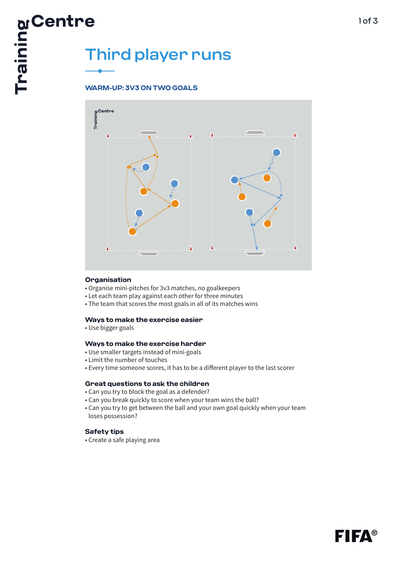# E<br>
Third player runs<br>
E<br>
WAPM:

# **WARM-UP: 3V3 ON TWO GOALS**



### **Organisation**

- Organise mini-pitches for 3v3 matches, no goalkeepers
- Let each team play against each other for three minutes
- The team that scores the most goals in all of its matches wins

### **Ways to make the exercise easier**

• Use bigger goals

### **Ways to make the exercise harder**

- Use smaller targets instead of mini-goals
- Limit the number of touches
- Every time someone scores, it has to be a different player to the last scorer

### **Great questions to ask the children**

- Can you try to block the goal as a defender?
- Can you break quickly to score when your team wins the ball?
- Can you try to get between the ball and your own goal quickly when your team loses possession?

# **Safety tips**

• Create a safe playing area

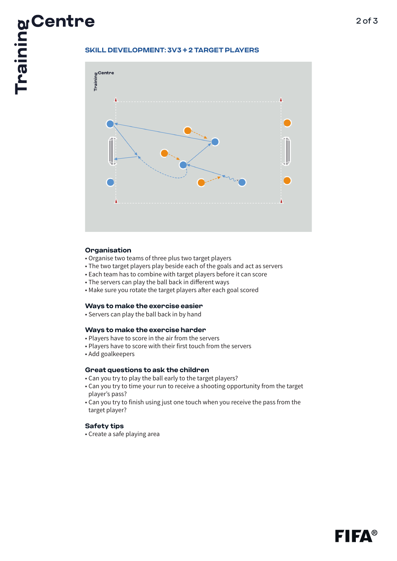

# **Organisation**

- Organise two teams of three plus two target players
- The two target players play beside each of the goals and act as servers
- Each team has to combine with target players before it can score
- The servers can play the ball back in different ways
- Make sure you rotate the target players after each goal scored

# **Ways to make the exercise easier**

• Servers can play the ball back in by hand

### **Ways to make the exercise harder**

- Players have to score in the air from the servers
- Players have to score with their first touch from the servers
- Add goalkeepers

# **Great questions to ask the children**

- Can you try to play the ball early to the target players?
- Can you try to time your run to receive a shooting opportunity from the target player's pass?
- Can you try to finish using just one touch when you receive the pass from the target player?

# **Safety tips**

• Create a safe playing area